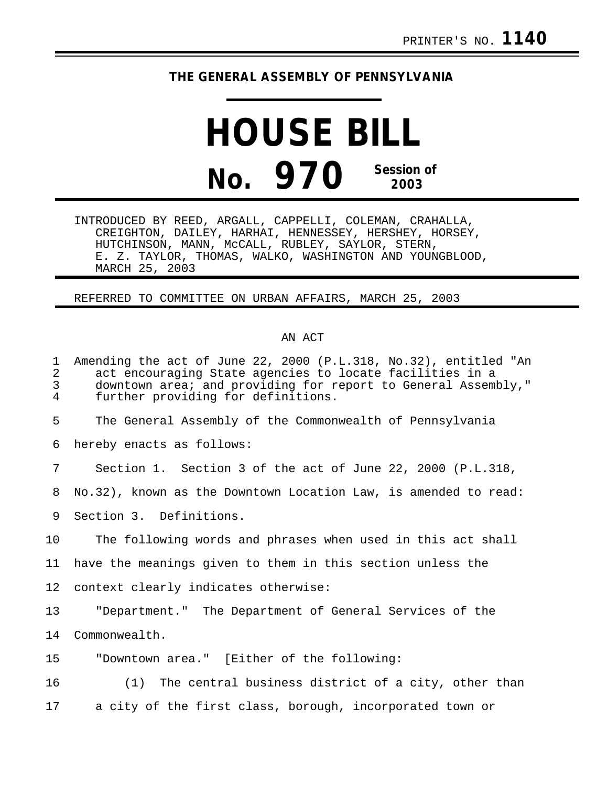## **THE GENERAL ASSEMBLY OF PENNSYLVANIA**

## **HOUSE BILL No. 970 Session of 2003**

INTRODUCED BY REED, ARGALL, CAPPELLI, COLEMAN, CRAHALLA, CREIGHTON, DAILEY, HARHAI, HENNESSEY, HERSHEY, HORSEY, HUTCHINSON, MANN, McCALL, RUBLEY, SAYLOR, STERN, E. Z. TAYLOR, THOMAS, WALKO, WASHINGTON AND YOUNGBLOOD, MARCH 25, 2003

REFERRED TO COMMITTEE ON URBAN AFFAIRS, MARCH 25, 2003

## AN ACT

| $\mathbf{1}$<br>$\overline{a}$<br>$\mathsf{3}$<br>4 | Amending the act of June 22, 2000 (P.L.318, No.32), entitled "An<br>act encouraging State agencies to locate facilities in a<br>downtown area; and providing for report to General Assembly,"<br>further providing for definitions. |
|-----------------------------------------------------|-------------------------------------------------------------------------------------------------------------------------------------------------------------------------------------------------------------------------------------|
| 5                                                   | The General Assembly of the Commonwealth of Pennsylvania                                                                                                                                                                            |
| 6                                                   | hereby enacts as follows:                                                                                                                                                                                                           |
| 7                                                   | Section 1. Section 3 of the act of June 22, 2000 (P.L.318,                                                                                                                                                                          |
| 8                                                   | No.32), known as the Downtown Location Law, is amended to read:                                                                                                                                                                     |
| 9                                                   | Section 3. Definitions.                                                                                                                                                                                                             |
| 10                                                  | The following words and phrases when used in this act shall                                                                                                                                                                         |
| 11                                                  | have the meanings given to them in this section unless the                                                                                                                                                                          |
| 12                                                  | context clearly indicates otherwise:                                                                                                                                                                                                |
| 13                                                  | "Department." The Department of General Services of the                                                                                                                                                                             |
| 14                                                  | Commonwealth.                                                                                                                                                                                                                       |
| 15                                                  | "Downtown area." [Either of the following:                                                                                                                                                                                          |
| 16                                                  | (1) The central business district of a city, other than                                                                                                                                                                             |
| 17                                                  | a city of the first class, borough, incorporated town or                                                                                                                                                                            |
|                                                     |                                                                                                                                                                                                                                     |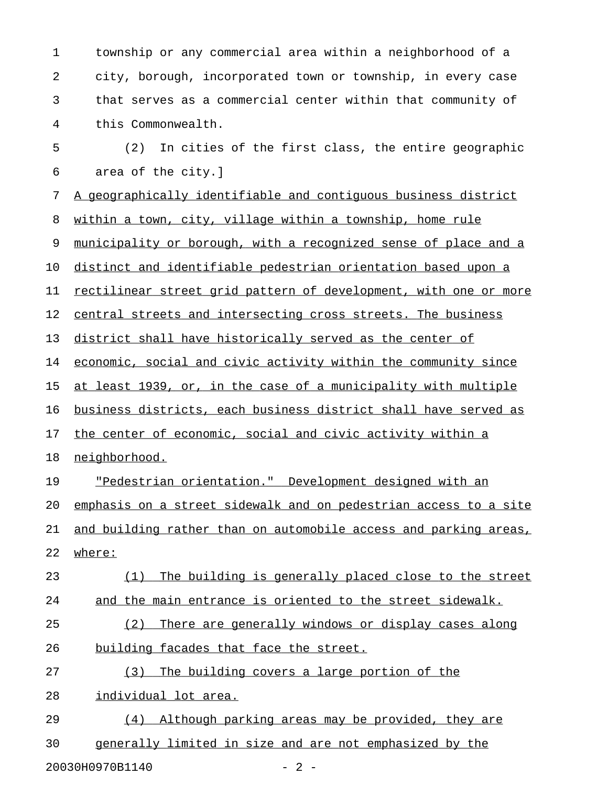1 township or any commercial area within a neighborhood of a 2 city, borough, incorporated town or township, in every case 3 that serves as a commercial center within that community of 4 this Commonwealth.

5 (2) In cities of the first class, the entire geographic 6 area of the city.]

7 A geographically identifiable and contiguous business district

8 within a town, city, village within a township, home rule

9 municipality or borough, with a recognized sense of place and a

10 distinct and identifiable pedestrian orientation based upon a

11 rectilinear street grid pattern of development, with one or more

12 central streets and intersecting cross streets. The business

13 district shall have historically served as the center of

14 economic, social and civic activity within the community since

15 at least 1939, or, in the case of a municipality with multiple

16 business districts, each business district shall have served as

17 the center of economic, social and civic activity within a

18 neighborhood.

19 "Pedestrian orientation." Development designed with an 20 emphasis on a street sidewalk and on pedestrian access to a site 21 and building rather than on automobile access and parking areas,

22 where:

23 (1) The building is generally placed close to the street 24 and the main entrance is oriented to the street sidewalk.

25 (2) There are generally windows or display cases along 26 building facades that face the street.

27 (3) The building covers a large portion of the

28 individual lot area.

29 (4) Although parking areas may be provided, they are 30 generally limited in size and are not emphasized by the

20030H0970B1140 - 2 -